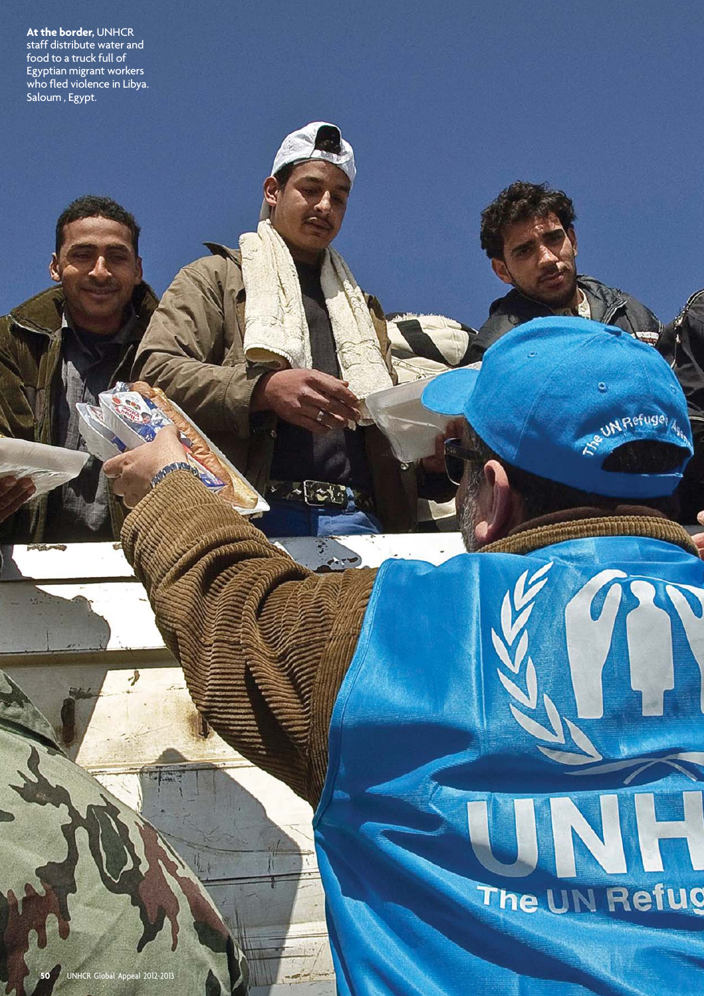**At the border,** UNHCR staff distribute water and food to a truck full of Egyptian migrant workers who fled violence in Libya. Saloum , Egypt.

## **STEERS** The UN Refug

 $\bullet$ 

UN Refuger

**50** UNHCR Global Appeal 2012-2013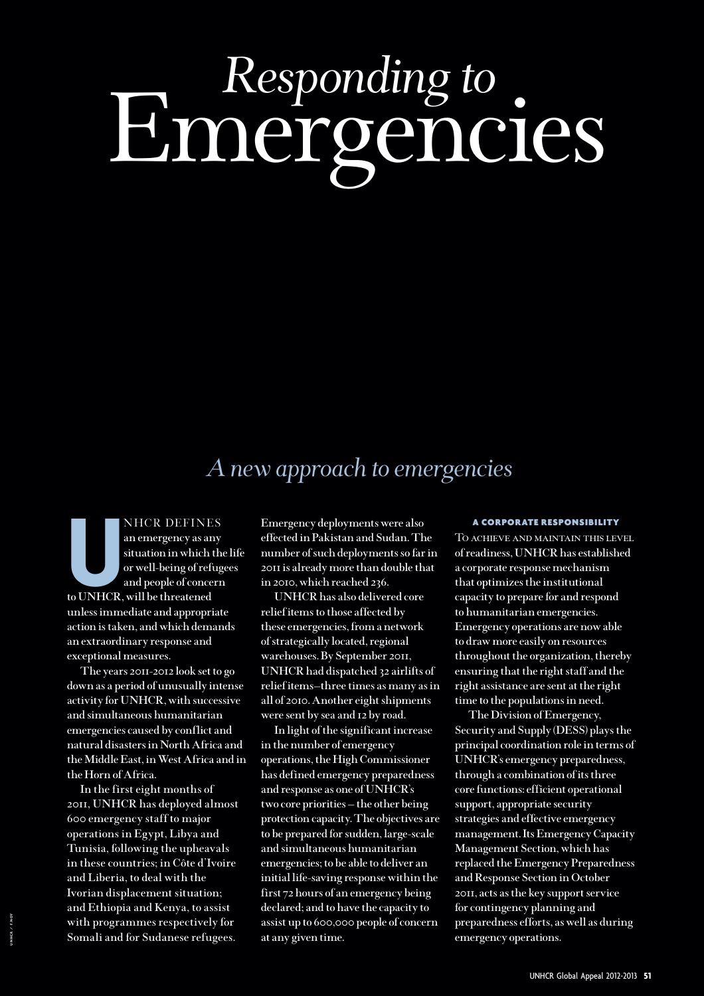# Emergencies *Responding to*

### *A new approach to emergencies*

NHCR DEFINE<br>
an emergency as an<br>
situation in which to<br>
or well-being of refu<br>
and people of conce<br>
to UNHCR, will be threatened NHCR DEFINES **an emergency as any situation in which the life or well-being of refugees and people of concern unless immediate and appropriate action is taken, and which demands an extraordinary response and exceptional measures.**

**The years 2011-2012 look set to go down as a period of unusually intense activity for UNHCR, with successive and simultaneous humanitarian emergencies caused by conflict and natural disasters in North Africa and the Middle East, in West Africa and in the Horn of Africa.** 

**In the first eight months of 2011, UNHCR has deployed almost 600 emergency staff to major operations in Egypt, Libya and Tunisia, following the upheavals in these countries; in Côte d'Ivoire and Liberia, to deal with the Ivorian displacement situation; and Ethiopia and Kenya, to assist with programmes respectively for Somali and for Sudanese refugees.** 

**Emergency deployments were also effected in Pakistan and Sudan. The number of such deployments so far in 2011 is already more than double that in 2010, which reached 236.** 

**UNHCR has also delivered core relief items to those affected by these emergencies, from a network of strategically located, regional warehouses. By September 2011, UNHCR had dispatched 32 airlifts of relief items—three times as many as in all of 2010. Another eight shipments were sent by sea and 12 by road.** 

**In light of the significant increase in the number of emergency operations, the High Commissioner has defined emergency preparedness and response as one of UNHCR's two core priorities — the other being protection capacity. The objectives are to be prepared for sudden, large-scale and simultaneous humanitarian emergencies; to be able to deliver an initial life-saving response within the first 72 hours of an emergency being declared; and to have the capacity to assist up to 600,000 people of concern at any given time.**

#### A CORPORATE RESPONSIBILITY

To achieve and maintain this level **of readiness, UNHCR has established a corporate response mechanism that optimizes the institutional capacity to prepare for and respond to humanitarian emergencies. Emergency operations are now able to draw more easily on resources throughout the organization, thereby ensuring that the right staff and the right assistance are sent at the right time to the populations in need.** 

**The Division of Emergency, Security and Supply (DESS) plays the principal coordination role in terms of UNHCR's emergency preparedness, through a combination of its three core functions: efficient operational support, appropriate security strategies and effective emergency management. Its Emergency Capacity Management Section, which has replaced the Emergency Preparedness and Response Section in October 2011, acts as the key support service for contingency planning and preparedness efforts, as well as during emergency operations.**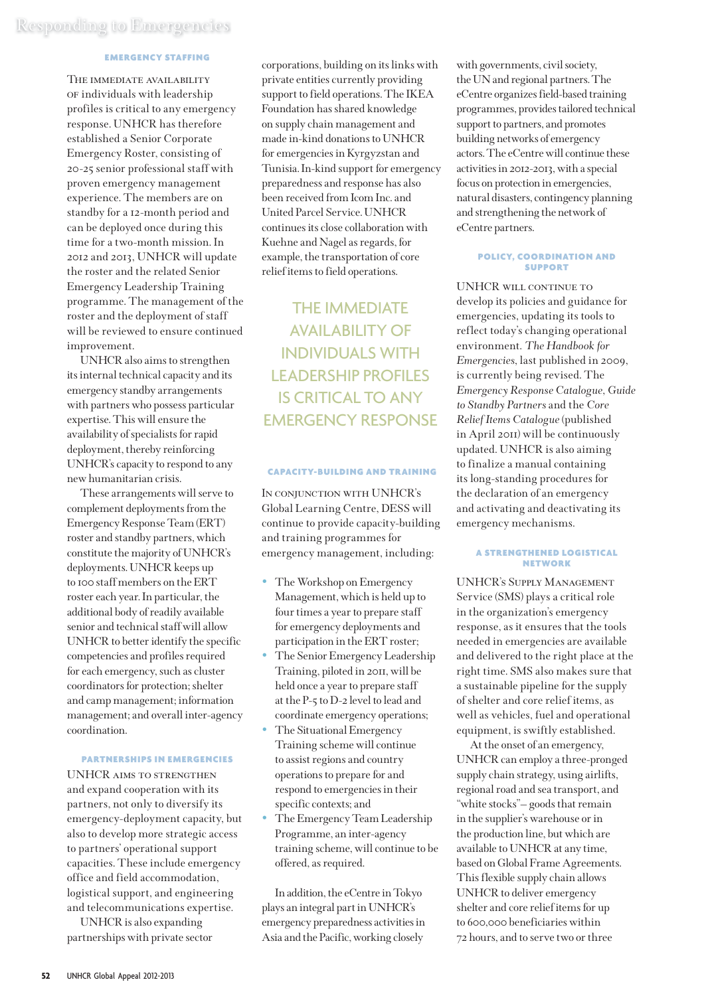#### EMERGENCY STAFFING

THE IMMEDIATE AVAILABILITY of individuals with leadership profiles is critical to any emergency response. UNHCR has therefore established a Senior Corporate Emergency Roster, consisting of 20-25 senior professional staff with proven emergency management experience. The members are on standby for a 12-month period and can be deployed once during this time for a two-month mission. In 2012 and 2013, UNHCR will update the roster and the related Senior Emergency Leadership Training programme. The management of the roster and the deployment of staff will be reviewed to ensure continued improvement.

UNHCR also aims to strengthen its internal technical capacity and its emergency standby arrangements with partners who possess particular expertise. This will ensure the availability of specialists for rapid deployment, thereby reinforcing UNHCR's capacity to respond to any new humanitarian crisis.

These arrangements will serve to complement deployments from the Emergency Response Team (ERT) roster and standby partners, which constitute the majority of UNHCR's deployments. UNHCR keeps up to 100 staff members on the ERT roster each year. In particular, the additional body of readily available senior and technical staff will allow UNHCR to better identify the specific competencies and profiles required for each emergency, such as cluster coordinators for protection; shelter and camp management; information management; and overall inter-agency coordination.

#### PARTNERSHIPS IN EMERGENCIES

UNHCR aims to strengthen and expand cooperation with its partners, not only to diversify its emergency-deployment capacity, but also to develop more strategic access to partners' operational support capacities. These include emergency office and field accommodation, logistical support, and engineering and telecommunications expertise.

UNHCR is also expanding partnerships with private sector corporations, building on its links with private entities currently providing support to field operations. The IKEA Foundation has shared knowledge on supply chain management and made in-kind donations to UNHCR for emergencies in Kyrgyzstan and Tunisia. In-kind support for emergency preparedness and response has also been received from Icom Inc. and United Parcel Service. UNHCR continues its close collaboration with Kuehne and Nagel as regards, for example, the transportation of core relief items to field operations.

THE IMMEDIATE AVAILABILITY OF INDIVIDUALS WITH LEADERSHIP PROFILES IS CRITICAL TO ANY EMERGENCY RESPONSE

#### CAPACITY-BUILDING AND TRAINING

In conjunction with UNHCR's Global Learning Centre, DESS will continue to provide capacity-building and training programmes for emergency management, including:

- The Workshop on Emergency Management, which is held up to four times a year to prepare staff for emergency deployments and participation in the ERT roster;
- The Senior Emergency Leadership Training, piloted in 2011, will be held once a year to prepare staff at the P-5 to D-2 level to lead and coordinate emergency operations;
- The Situational Emergency Training scheme will continue to assist regions and country operations to prepare for and respond to emergencies in their specific contexts; and
- The Emergency Team Leadership Programme, an inter-agency training scheme, will continue to be offered, as required.

In addition, the eCentre in Tokyo plays an integral part in UNHCR's emergency preparedness activities in Asia and the Pacific, working closely

with governments, civil society, the UN and regional partners. The eCentre organizes field-based training programmes, provides tailored technical support to partners, and promotes building networks of emergency actors. The eCentre will continue these activities in 2012-2013, with a special focus on protection in emergencies, natural disasters, contingency planning and strengthening the network of eCentre partners.

#### POLICY, COORDINATION AND **SUPPORT**

UNHCR will continue to develop its policies and guidance for emergencies, updating its tools to reflect today's changing operational environment. *The Handbook for Emergencies*, last published in 2009, is currently being revised. The *Emergency Response Catalogue, Guide to Standby Partners* and the *Core Relief Items Catalogue* (published in April 2011) will be continuously updated. UNHCR is also aiming to finalize a manual containing its long-standing procedures for the declaration of an emergency and activating and deactivating its emergency mechanisms.

#### A STRENGTHENED LOGISTICAL NETWORK

UNHCR's Supply Management Service (SMS) plays a critical role in the organization's emergency response, as it ensures that the tools needed in emergencies are available and delivered to the right place at the right time. SMS also makes sure that a sustainable pipeline for the supply of shelter and core relief items, as well as vehicles, fuel and operational equipment, is swiftly established.

At the onset of an emergency, UNHCR can employ a three-pronged supply chain strategy, using airlifts, regional road and sea transport, and "white stocks"— goods that remain in the supplier's warehouse or in the production line, but which are available to UNHCR at any time, based on Global Frame Agreements. This flexible supply chain allows UNHCR to deliver emergency shelter and core relief items for up to 600,000 beneficiaries within 72 hours, and to serve two or three